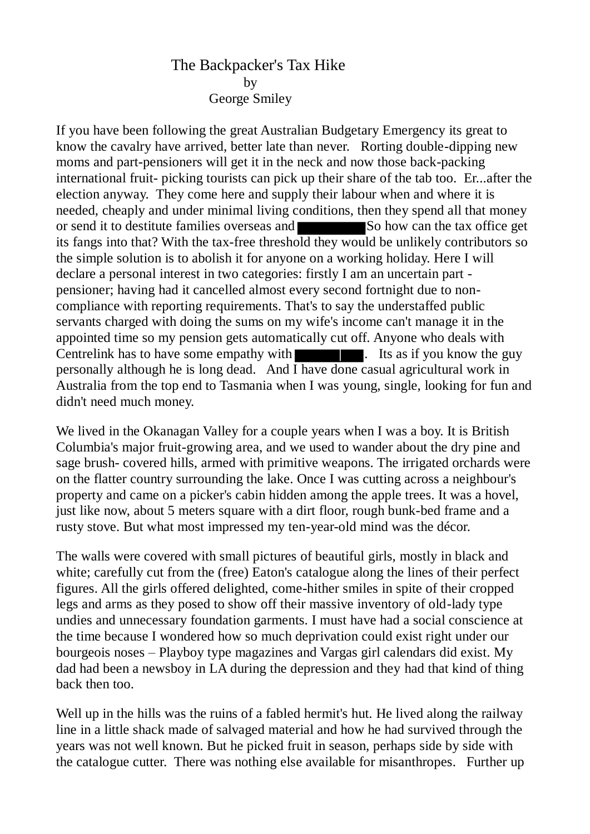## The Backpacker's Tax Hike by George Smiley

If you have been following the great Australian Budgetary Emergency its great to know the cavalry have arrived, better late than never. Rorting double-dipping new moms and part-pensioners will get it in the neck and now those back-packing international fruit- picking tourists can pick up their share of the tab too. Er...after the election anyway. They come here and supply their labour when and where it is needed, cheaply and under minimal living conditions, then they spend all that money or send it to destitute families overseas and So how can the tax office get its fangs into that? With the tax-free threshold they would be unlikely contributors so the simple solution is to abolish it for anyone on a working holiday. Here I will declare a personal interest in two categories: firstly I am an uncertain part pensioner; having had it cancelled almost every second fortnight due to noncompliance with reporting requirements. That's to say the understaffed public servants charged with doing the sums on my wife's income can't manage it in the appointed time so my pension gets automatically cut off. Anyone who deals with Centrelink has to have some empathy with  $\blacksquare$ . Its as if you know the guy personally although he is long dead. And I have done casual agricultural work in Australia from the top end to Tasmania when I was young, single, looking for fun and didn't need much money.

We lived in the Okanagan Valley for a couple years when I was a boy. It is British Columbia's major fruit-growing area, and we used to wander about the dry pine and sage brush- covered hills, armed with primitive weapons. The irrigated orchards were on the flatter country surrounding the lake. Once I was cutting across a neighbour's property and came on a picker's cabin hidden among the apple trees. It was a hovel, just like now, about 5 meters square with a dirt floor, rough bunk-bed frame and a rusty stove. But what most impressed my ten-year-old mind was the décor.

The walls were covered with small pictures of beautiful girls, mostly in black and white; carefully cut from the (free) Eaton's catalogue along the lines of their perfect figures. All the girls offered delighted, come-hither smiles in spite of their cropped legs and arms as they posed to show off their massive inventory of old-lady type undies and unnecessary foundation garments. I must have had a social conscience at the time because I wondered how so much deprivation could exist right under our bourgeois noses – Playboy type magazines and Vargas girl calendars did exist. My dad had been a newsboy in LA during the depression and they had that kind of thing back then too.

Well up in the hills was the ruins of a fabled hermit's hut. He lived along the railway line in a little shack made of salvaged material and how he had survived through the years was not well known. But he picked fruit in season, perhaps side by side with the catalogue cutter. There was nothing else available for misanthropes. Further up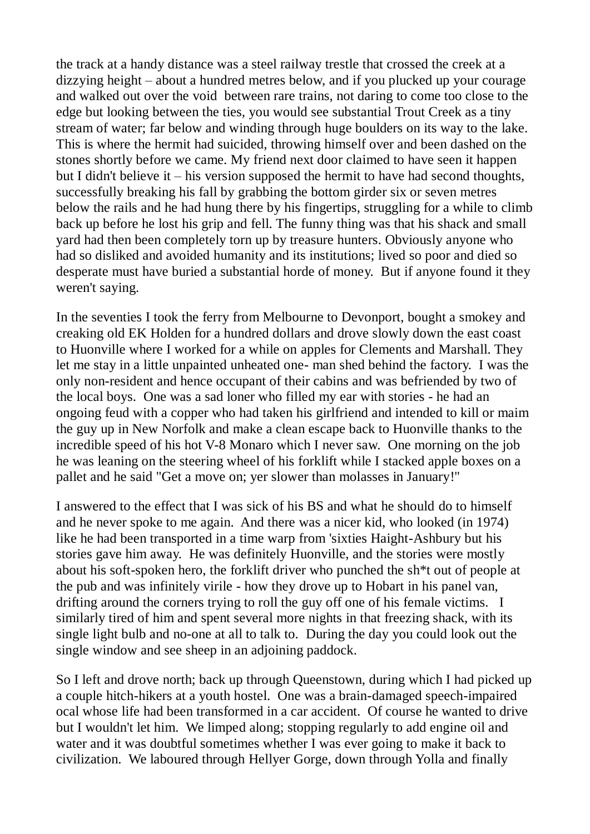the track at a handy distance was a steel railway trestle that crossed the creek at a dizzying height – about a hundred metres below, and if you plucked up your courage and walked out over the void between rare trains, not daring to come too close to the edge but looking between the ties, you would see substantial Trout Creek as a tiny stream of water; far below and winding through huge boulders on its way to the lake. This is where the hermit had suicided, throwing himself over and been dashed on the stones shortly before we came. My friend next door claimed to have seen it happen but I didn't believe it – his version supposed the hermit to have had second thoughts, successfully breaking his fall by grabbing the bottom girder six or seven metres below the rails and he had hung there by his fingertips, struggling for a while to climb back up before he lost his grip and fell. The funny thing was that his shack and small yard had then been completely torn up by treasure hunters. Obviously anyone who had so disliked and avoided humanity and its institutions; lived so poor and died so desperate must have buried a substantial horde of money. But if anyone found it they weren't saying.

In the seventies I took the ferry from Melbourne to Devonport, bought a smokey and creaking old EK Holden for a hundred dollars and drove slowly down the east coast to Huonville where I worked for a while on apples for Clements and Marshall. They let me stay in a little unpainted unheated one- man shed behind the factory. I was the only non-resident and hence occupant of their cabins and was befriended by two of the local boys. One was a sad loner who filled my ear with stories - he had an ongoing feud with a copper who had taken his girlfriend and intended to kill or maim the guy up in New Norfolk and make a clean escape back to Huonville thanks to the incredible speed of his hot V-8 Monaro which I never saw. One morning on the job he was leaning on the steering wheel of his forklift while I stacked apple boxes on a pallet and he said "Get a move on; yer slower than molasses in January!"

I answered to the effect that I was sick of his BS and what he should do to himself and he never spoke to me again. And there was a nicer kid, who looked (in 1974) like he had been transported in a time warp from 'sixties Haight-Ashbury but his stories gave him away. He was definitely Huonville, and the stories were mostly about his soft-spoken hero, the forklift driver who punched the sh\*t out of people at the pub and was infinitely virile - how they drove up to Hobart in his panel van, drifting around the corners trying to roll the guy off one of his female victims. I similarly tired of him and spent several more nights in that freezing shack, with its single light bulb and no-one at all to talk to. During the day you could look out the single window and see sheep in an adjoining paddock.

So I left and drove north; back up through Queenstown, during which I had picked up a couple hitch-hikers at a youth hostel. One was a brain-damaged speech-impaired ocal whose life had been transformed in a car accident. Of course he wanted to drive but I wouldn't let him. We limped along; stopping regularly to add engine oil and water and it was doubtful sometimes whether I was ever going to make it back to civilization. We laboured through Hellyer Gorge, down through Yolla and finally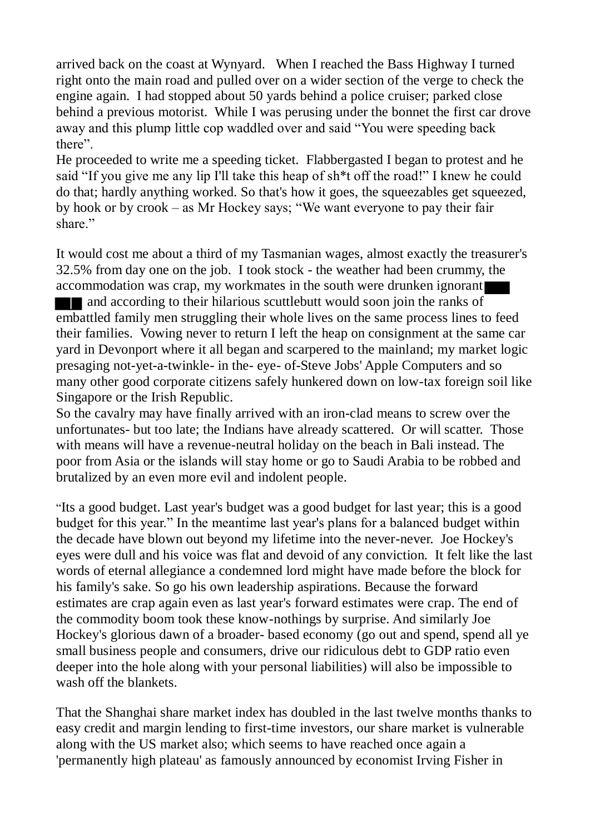arrived back on the coast at Wynyard. When I reached the Bass Highway I turned right onto the main road and pulled over on a wider section of the verge to check the engine again. I had stopped about 50 yards behind a police cruiser; parked close behind a previous motorist. While I was perusing under the bonnet the first car drove away and this plump little cop waddled over and said "You were speeding back there".

He proceeded to write me a speeding ticket. Flabbergasted I began to protest and he said "If you give me any lip I'll take this heap of sh\*t off the road!" I knew he could do that; hardly anything worked. So that's how it goes, the squeezables get squeezed, by hook or by crook – as Mr Hockey says; "We want everyone to pay their fair share"

It would cost me about a third of my Tasmanian wages, almost exactly the treasurer's 32.5% from day one on the job. I took stock - the weather had been crummy, the accommodation was crap, my workmates in the south were drunken ignorant and according to their hilarious scuttlebutt would soon join the ranks of embattled family men struggling their whole lives on the same process lines to feed their families. Vowing never to return I left the heap on consignment at the same car yard in Devonport where it all began and scarpered to the mainland; my market logic presaging not-yet-a-twinkle- in the- eye- of-Steve Jobs' Apple Computers and so many other good corporate citizens safely hunkered down on low-tax foreign soil like Singapore or the Irish Republic.

So the cavalry may have finally arrived with an iron-clad means to screw over the unfortunates- but too late; the Indians have already scattered. Or will scatter. Those with means will have a revenue-neutral holiday on the beach in Bali instead. The poor from Asia or the islands will stay home or go to Saudi Arabia to be robbed and brutalized by an even more evil and indolent people.

"Its a good budget. Last year's budget was a good budget for last year; this is a good budget for this year." In the meantime last year's plans for a balanced budget within the decade have blown out beyond my lifetime into the never-never. Joe Hockey's eyes were dull and his voice was flat and devoid of any conviction. It felt like the last words of eternal allegiance a condemned lord might have made before the block for his family's sake. So go his own leadership aspirations. Because the forward estimates are crap again even as last year's forward estimates were crap. The end of the commodity boom took these know-nothings by surprise. And similarly Joe Hockey's glorious dawn of a broader- based economy (go out and spend, spend all ye small business people and consumers, drive our ridiculous debt to GDP ratio even deeper into the hole along with your personal liabilities) will also be impossible to wash off the blankets.

That the Shanghai share market index has doubled in the last twelve months thanks to easy credit and margin lending to first-time investors, our share market is vulnerable along with the US market also; which seems to have reached once again a 'permanently high plateau' as famously announced by economist Irving Fisher in